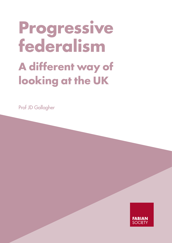# **Progressive federalism A different way of looking at the UK**

Prof JD Gallagher

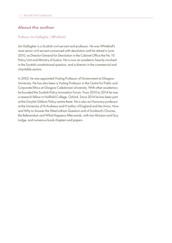#### **About the author**

#### Professor Jim Gallagher | @ProfJimG

Jim Gallagher is a Scottish civil servant and professor. He was Whitehall's most senior civil servant concerned with devolution until he retired in June 2010, as Director-General for Devolution in the Cabinet Office the No 10 Policy Unit and Ministry of Justice. He is now an academic heavily involved in the Scottish constitutional question, and a director in the commercial and charitable sectors.

In 2005, he was appointed Visiting Professor of Government at Glasgow University. He has also been a Visiting Professor in the Centre for Public and Corporate Ethics at Glasgow Caledonian University. With other academics he founded the Scottish Policy Innovation Forum. From 2010 to 2014 he was a research fellow in Nuffield College, Oxford. Since 2014 he has been part at the Gwylim Gibbon Policy centre there. He is also an Honorary professor at the University of St Andrews and H author of England and the Union, How and Why to Answer the West Lothian Question and of Scotland's Choices, the Referendum and What Happens Afterwards, with Iain McLean and Guy Lodge, and numerous book chapters and papers.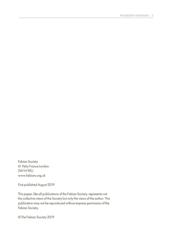Fabian Society 61 Petty France London SW1H 9EU www.fabians.org.uk

First published August 2019

This paper, like all publications of the Fabian Society, represents not the collective views of the Society but only the views of the author. This publication may not be reproduced without express permission of the Fabian Society.

© The Fabian Society 2019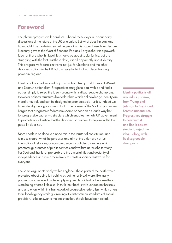#### **Foreword**

The phrase 'progressive federalism' is heard these days in Labour party discussions of the future of the UK as a union. But what does it mean, and how could it be made into something real? In this paper, based on a lecture I recently gave to the West of Scotland Fabians, I argue that it is a powerful idea for those who think politics should be about social justice, but are struggling with the fact that these days, it is all apparently about identity. This progressive federalism works not just for Scotland and the other devolved nations in the UK but as a way to think about decentralising power in England.

Identity politics is all around us just now, from Trump and Johnson to Brexit and Scottish nationalism. Progressives struggle to deal with it and find it easiest simply to reject the idea – along with its disagreeable champions. However political structures like federalism which acknowledge identity are morally neutral, and can be designed to promote social justice. Indeed we have, step by step, got closer to that in the powers of the Scottish parliament. I argue that progressive federalism should be seen as an 'each way bet' for progressive causes – a structure which enables the right UK government to promote social justice, but the devolved parliament to step in and fill the gaps if it does not.

More needs to be done to embed this in the territorial constitution, and to make clearer what the purposes and aim of the union are not just international relations, or economic security but also a structure which promotes guarantees of public services and welfare across the territory. For Scotland that is far preferable to the uncertainties and austerity of independence and much more likely to create a society that works for everyone.

The same arguments apply within England. Those parts of the north which protested about being left behind by voting for Brexit were, like many poorer Scots, seduced by the empty arguments of identity, because they were being offered little else. In truth their beef is with London not Brussels, and a solution within this framework of progressive federalism, which offers them local agency while guaranting at least common standards of social provision, is the answer to the question they should have been asked.

Identity politics is all around us just now, from Trump and Johnson to Brexit and Scottish nationalism. Progressives struggle to deal with it and find it easiest simply to reject the idea – along with its disagreeable champions.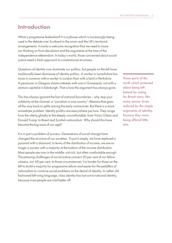#### **Introduction**

What is progressive federalism? It is a phrase which is increasingly being used in the debate over Scotland in the union and the UK's territorial arrangements. It marks a welcome recognition that we need to move our thinking on from devolution and the arguments at the time of the independence referendum. In today's world, those concerned about social justice need a fresh approach to constitutional structures.

Questions of identity now dominate our politics, but people on the left have traditionally been dismissive of identity politics. A worker in Lanarkshire has more in common with a worker in London than with a laird in Perthshire. A pensioner in Glasgow shares interests with one in Gravesend, not with a venture capitalist in Edinburgh. That is how the argument has always gone.

This has always ignored the fact of national boundaries – why stop your solidarity at the channel, a "socialism in one country" dilemma that goes all the way back to splits among the early communists. But there is a more immediate problem. Identity politics are everywhere just now. They range from the utterly ghastly to the deeply uncomfortable: from Victor Orban and Donald Trump, to Brexit and Scottish nationalism. Why should this have become the big issue of our age?

It is in part a problem of success. Generations of social change have changed the structure of our societies. To put it simply, we have replaced a pyramid with a diamond. In terms of the distribution of income, we are no longer a society with a majority at the bottom of the income distribution. Most people are now in the middle: not rich, but often comfortable enough. The pressing challenges of social justice concern 20 per cent of our fellow citizens, not 60 per cent. In those circumstances, it is harder for those on the left to build a majority for progressive reform and easier for the peddlers of nationalism to construe social problems as the denial of identity. In rather old fashioned left-wing language, class identity has lost out to national identity, because most people are a bit better off.

Those parts of the north which protested about being left behind by voting for Brexit were, like many poorer Scots, seduced by the empty arguments of identity, because they were being offered little else.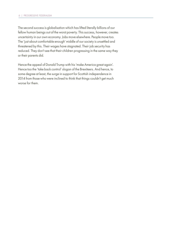The second success is globalisation which has lifted literally billions of our fellow human beings out of the worst poverty. This success, however, creates uncertainty in our own economy. Jobs move elsewhere. People move too. The 'just about comfortable enough' middle of our society is unsettled and threatened by this. Their wages have stagnated. Their job security has reduced. They don't see that their children progressing in the same way they or their parents did.

Hence the appeal of Donald Trump with his 'make America great again'. Hence too the 'take back control' slogan of the Brexiteers. And hence, to some degree at least, the surge in support for Scottish independence in 2014 from those who were inclined to think that things couldn't get much worse for them.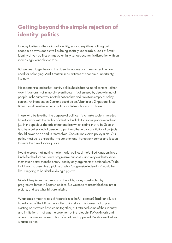# **Getting beyond the simple rejection of identity politics**

It's easy to dismiss the claims of identity, easy to say it has nothing but economic downsides as well as being socially undesirable. Look at Brexit: identity-driven politics brings potentially serious economic disruption with an increasingly xenophobic tone.

But we need to get beyond this. Identity matters and meets a real human need for belonging. And it matters most at times of economic uncertainty, like now.

It is important to realise that identity politics has in fact *no* moral content – either way. It is amoral, not immoral – even though it is often used by deeply immoral people. In the same way, Scottish nationalism and Brexit are empty of policy content. An independent Scotland could be an Albania or a Singapore. Brexit Britain could be either a democratic socialist republic or a tax haven.

Those who believe that the purpose of politics it is to make society more just have to work with the reality of identity, but link it to social justice – and not just in the specious rhetoric of nationalism which claims that to be Scottish is to be a better kind of person. To put it another way, constitutional projects should never be an end in themselves. Constitutions serve policy aims. Our policy must be to ensure that the constitutional framework serves and is seen to serve the aim of social justice.

I want to argue that making the territorial politics of the United Kingdom into a kind of federalism can serve progressive purposes, and very evidently serve them much better than the empty identity-only arguments of nationalism. To do that, I want to assemble a picture of what 'progressive federalism' would be like. It is going to be a bit like doing a jigsaw.

Most of the pieces are already on the table, many constructed by progressive forces in Scottish politics. But we need to assemble them into a picture, and see what bits are missing.

What does it mean to talk of federalism in the UK context? Traditionally we have talked of the UK as a so-called union state. It is formed out of preexisting parts which have come together, but retained some of their identity and institutions. That was the argument of the late John P Mackintosh and others. It is true, as a description of what has happened. But it doesn't tell us what to do next.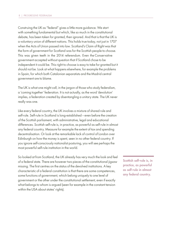Construing the UK as "federal" gives a little more guidance. We start with something fundamental but which, like so much in the constitutional debate, has been taken for granted, then ignored. And that is that the UK is a voluntary union of different nations. This holds true today, not just in 1707 when the Acts of Union passed into law. Scotland's Claim of Right was that the form of government for Scotland was for the Scottish people to choose. This was given teeth in the 2014 referendum. Even the Conservative government accepted without question that if Scotland chose to be independent it could be. This right to choose is easy to take for granted but it should not be. Look at what happens elsewhere, for example the problems in Spain, for which both Catalonian separatists and the Madrid central government are to blame.

The UK is what one might call, in the jargon of those who study federalism, a 'coming together' federation. It is not actually, as the word 'devolution' implies, a federation created by disentangling a unitary state. The UK never really was one.

Like every federal country, the UK involves a mixture of shared rule and self-rule. Self-rule in Scotland is long-established – even before the creation of the Scottish parliament, with administrative, legal and educational differences. Scottish self-rule is, in practice, as powerful as self-rule in almost any federal country. Measure for example the extent of tax and spending decentralisation. Or look at the remarkable lack of control of London over Edinburgh on how the money is spent, seen in no other federal country. If you ignore self-consciously nationalist posturing, you will see perhaps the most powerful self-rule institution in the world.

So looked at from Scotland, the UK already has very much the look and feel of a federal state. There are however two pieces of the constitutional jigsaw missing. The first centres on the status of the devolved institutions. A key characteristic of a federal constitution is that there are some competences, some functions of government, which belong uniquely to one level of government or the other under the constitutional settlement, even if exactly what belongs to whom is argued (seen for example in the constant tension within the USA about states' rights).

Scottish self-rule is, in practice, as powerful as self-rule in almost any federal country.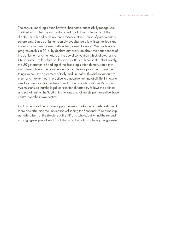The constitutional legislation however has not yet successfully recognised, codified or, in the jargon, 'entrenched' that. That is because of the slightly childish and certainly much misunderstood notion of parliamentary sovereignty. Since parliament can always change a law, it cannot legislate irreversibly to disempower itself and empower Holyrood. We made some progress on this in 2016, by declaratory provision about the permanence of the parliament and the nature of the Sewel convention which allows for the UK parliament to legislate on devolved matters with consent. Unfortunately, the UK government's handling of the Brexit legislation demonstrated that it was insensitive to this constitutional principle, as it proposed to reserve things without the agreement of Holyrood. In reality, this did not amount to much and may turn out in practice to amount to nothing at all. But it shows a need for a more explicit entrenchment of the Scottish parliament's powers. We must ensure that the legal, constitutional, formality follows the political and social reality: the Scottish institutions are not merely permanent but have control over their own destiny.

I will come back later to other opportunities to make the Scottish parliament more powerful, and the implications of seeing the Scotland-UK relationship as 'federalism' for the structure of the UK as a whole. But to find the second missing jigsaw piece I want first to focus on the notion of being 'progressive'.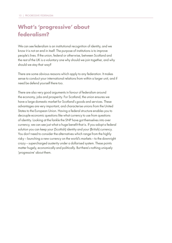# **What's 'progressive' about federalism?**

We can see federalism is an institutional recognition of identity, and we know it is not an end in itself. The purpose of institutions is to improve people's lives. If the union, federal or otherwise, between Scotland and the rest of the UK is a voluntary one why should we join together, and why should we stay that way?

There are some obvious reasons which apply to any federation. It makes sense to conduct your international relations from within a larger unit, and if need be defend yourself there too.

There are also very good arguments in favour of federalism around the economy, jobs and prosperity. For Scotland, the union ensures we have a large domestic market for Scotland's goods and services. These advantages are very important, and characterise unions from the United States to the European Union. Having a federal structure enables you to decouple economic questions like what currency to use from questions of identity. Looking at the fankle the SNP have got themselves into over currency, we can see just what a huge benefit that is. If you adopt a federal solution you can keep your (Scottish) identity and your (British) currency. You don't need to consider the alternatives which range from the highly risky – launching a new currency on the world's markets – to the downright crazy – supercharged austerity under a dollarised system. These points matter hugely, economically and politically. But there's nothing uniquely 'progressive' about them.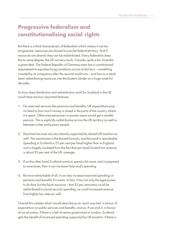# **Progressive federalism and constitutionalising social rights**

But there is a third characteristic of federalism which means it can be progressive: resources are shared across the federal territory. And if resources are shared, they can be redistributed. Every federation does this to some degree: the US not very much; Canada, quite a bit; Australia a great deal. The Federal Republic of Germany even has a constitutional requirement to equalise living conditions across its territory – something inserted by its conquerors after the second world war – and has as a result been redistributing resources into the Eastern Länder on a huge scale for decades.

So how does distribution and redistribution work for Scotland in the UK now? Here are four important features:

- 1. For reserved services like pensions and benefits, UK expenditure pays no heed to how much money is raised in the parts of the country where it is spent. Otherwise pensioners in poorer areas would get a smaller pension. This is explicitly redistributive across the UK territory as well as between richer and poorer people.
- 2. Devolved services are very heavily supported by shared UK taxation as well. The mechanism is the Barnett formula, and the result is remarkable. Spending in Scotland is 25 per cent per head higher than in England and is largely insulated from the fact that per head Scottish tax revenue is about 95 per cent of the UK average.
- 3. If on the other hand Scotland wants to spend a bit more, and is prepared to raise taxes, then it can increase Holyrood's spending.
- 4. But most remarkable of all, it can also increase reserved spending on pensions and benefits if it wants. In fact, it has not only the legal power to do that, but the fiscal resource – that 25 per cent extra could be redistributed to social security spending, as could increased revenue from higher tax rates as well.

Overall this creates what I would describe as an 'each way bet' in favour of expenditure on public services and benefits, and so, if we wish it, in favour of social justice. If there is a left of centre government in London, Scotland gets the benefit of increased spending supported by UK taxation. If there is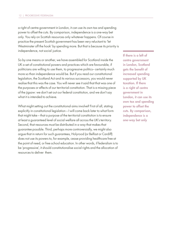a right of centre government in London, it can use its own tax and spending power to offset the cuts. By comparison, independence is a one-way bet only. You rely on Scottish resources only whatever happens. Of course in practice the present Scottish government has been very reluctant to 'let Westminster off the hook' by spending more. But that is because its priority is independence, not social justice.

So by one means or another, we have assembled for Scotland inside the UK a set of constitutional powers and practices which are favourable, if politicians are willing to use them, to progressive politics– certainly much more so than independence would be. But if you read our constitutional legislation, the Scotland Act and its various successors, you would never realise that this was the case. You will never see it said that that was one of the purposes or effects of our territorial constitution. That is a missing piece of the jigsaw: we don't set out our federal constitution, and we don't say what it is intended to achieve.

What might setting out the constitutional aims involve? First of all, stating explicitly in constitutional legislation – I will come back later to what form that might take – that a purpose of the territorial constitution is to ensure at least a guaranteed level of social welfare all across the UK's territory. Second, that resources must be distributed in a way that makes that guarantee possible. Third, perhaps more controversially, we might also argue that in return for such guarantees, Holyrood (or Belfast or Cardiff) does not use its powers to, for example, cease providing healthcare free at the point of need, or free school education. In other words, if federalism is to be 'progressive', it should constitutionalise social rights and the allocation of resources to deliver them.

If there is a left of centre government in London, Scotland gets the benefit of increased spending supported by UK taxation. If there is a right of centre government in London, it can use its own tax and spending power to offset the cuts. By comparison, independence is a one-way bet only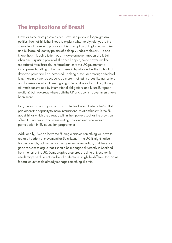#### **The implications of Brexit**

Now for some more jigsaw pieces. Brexit is a problem for progressive politics. I do not think that I need to explain why, merely refer you to the character of those who promote it. It is an eruption of English nationalism, and built around identity politics of a deeply undesirable sort. No one knows how it is going to turn out. It may even never happen at all. But it has one surprising potential. If it does happen, some powers will be repatriated from Brussels. I referred earlier to the UK government's incompetent handling of the Brexit issue in legislation, but the truth is that devolved powers will be increased. Looking at the issue through a federal lens, there may well be scope to do more – not just in areas like agriculture and fisheries, on which there is going to be a bit more flexibility (although still much constrained by international obligations and future European relations) but two areas where both the UK and Scottish governments have been silent.

First, there can be no good reason in a federal set-up to deny the Scottish parliament the capacity to make international relationships with the EU about things which are already within their powers such as the provision of health services to EU citizens visiting Scotland and vice versa or participation in EU education programmes.

Additionally, if we do leave the EU single market, something will have to replace freedom of movement for EU citizens in the UK. It might not be border controls, but in-country management of migration, and there are good reasons to argue that it should be managed differently in Scotland from the rest of the UK. Demographic pressures are different, economic needs might be different, and local preferences might be different too. Some federal countries do already manage something like this.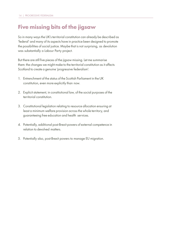## **Five missing bits of the jigsaw**

So in many ways the UK's territorial constitution can already be described as 'federal' and many of its aspects have in practice been designed to promote the possibilities of social justice. Maybe that is not surprising, as devolution was substantially a Labour Party project.

But there are still five pieces of the jigsaw missing. Let me summarise them: the changes we might make to the territorial constitution as it affects Scotland to create a genuine 'progressive federalism':

- 1. Entrenchment of the status of the Scottish Parliament in the UK constitution, even more explicitly than now.
- 2. Explicit statement, in constitutional law, of the social purposes of the territorial constitution.
- 3. Constitutional legislation relating to resource allocation ensuring at least a minimum welfare provision across the whole territory, and guaranteeing free education and health services.
- 4. Potentially, additional post-Brexit powers of external competence in relation to devolved matters.
- 5. Potentially also, post-Brexit powers to manage EU migration.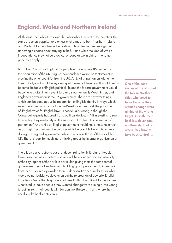## **England, Wales and Northern Ireland**

All this has been about Scotland, but what about the rest of the country? The same arguments apply, more or less unchanged, to both Northern Ireland and Wales. Northern Ireland in particular has always been recognised as having a choice about staying in the UK and while the idea of Welsh independence may not be practical or popular we might say the same principles apply.

But it doesn't work for England. Its people make up some 85 per cent of the population of the UK. English independence would be tantamount to ejecting the other countries from the UK. An English parliament along the lines of Holyrood would in my view spell the end of the union. It would swiftly become the focus of English political life and the federal government would become vestigial. In any event, England's parliament is Westminster, and England's government is the UK government. There are however things which can be done about the recognition of English identity in ways which would be more constructive than the Brexit shambles. First, the principle of 'English votes for English laws' is not actually wrong, although the Conservative party has used it as a political device. Isn't it interesting to see how willing they are to rely on the support of Northern Irish members of parliament? And while an English government would have the same effect as an English parliament, it would certainly be possible to do a bit more to distinguish England's governmental decisions from those of the rest of the UK. There is room for much more thinking about the internal organisation of government.

There is also a very strong case for decentralisation in England. I would favour an asymmetric system built around the economic and social reality of the city regions of the north in particular, giving them the same sort of guarantees of social welfare, and building up scope for them to increase it from local resources, provided there is democratic accountability for what would be not legislative devolution but the re-creation of powerful English localities. One of the deep ironies of Brexit is that the folk in Northern cities who voted to leave because they wanted change were aiming at the wrong target. In truth, their beef is with London, not Brussels. That is where they need to take back control from.

One of the deep ironies of Brexit is that the folk in Northern cities who voted to leave because they wanted change were aiming at the wrong target. In truth, their beef is with London, not Brussels. That is where they have to take back control is.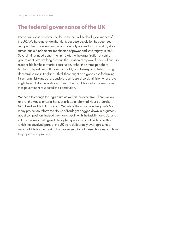## **The federal governance of the UK**

Reconstruction is however needed in the central, federal, governance of the UK. We have never got that right, because devolution has been seen as a peripheral concern, and a kind of untidy appendix to an unitary state rather than a fundamental redefinition of power and sovereignty in the UK. Several things need done. The first relates to the organisation of central government. We are long overdue the creation of a powerful central ministry responsible for the territorial constitution, rather than three peripheral territorial departments. It should probably also be responsible for driving decentralisation in England. I think there might be a good case for having it such a ministry made responsible to a House of Lords minister whose role might be a bit like the traditional role of the Lord Chancellor, making sure that government respected the constitution.

We need to change the legislature as well as the executive. There is a key role for the House of Lords here, or at least a reformed House of Lords. Might we be able to turn it into a 'Senate of the nations and regions'? So many projects to reform the House of Lords get bogged down in arguments about composition. Instead we should begin with the task it should do, and in this case we should give it, through a specially constituted committee in which the devolved parts of the UK were deliberately overrepresented, responsibility for overseeing the implementation of these changes and how they operate in practice.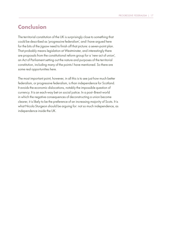#### **Conclusion**

The territorial constitution of the UK is surprisingly close to something that could be described as 'progressive federalism', and I have argued here for the bits of the jigsaw need to finish off that picture: a seven-point plan. That probably means legislation at Westminster, and interestingly there are proposals from the constitutional reform group for a 'new act of union', an Act of Parliament setting out the nature and purposes of the territorial constitution, including many of the points I have mentioned. So there are some real opportunities here.

The most important point, however, in all this is to see just how much better federalism, or progressive federalism, is than independence for Scotland. It avoids the economic dislocations, notably the impossible question of currency. It is an each-way bet on social justice. In a post--Brexit world in which the negative consequences of deconstructing a union become clearer, it is likely to be the preference of an increasing majority of Scots. It is what Nicola Sturgeon should be arguing for: not so much independence, as independence inside the UK.